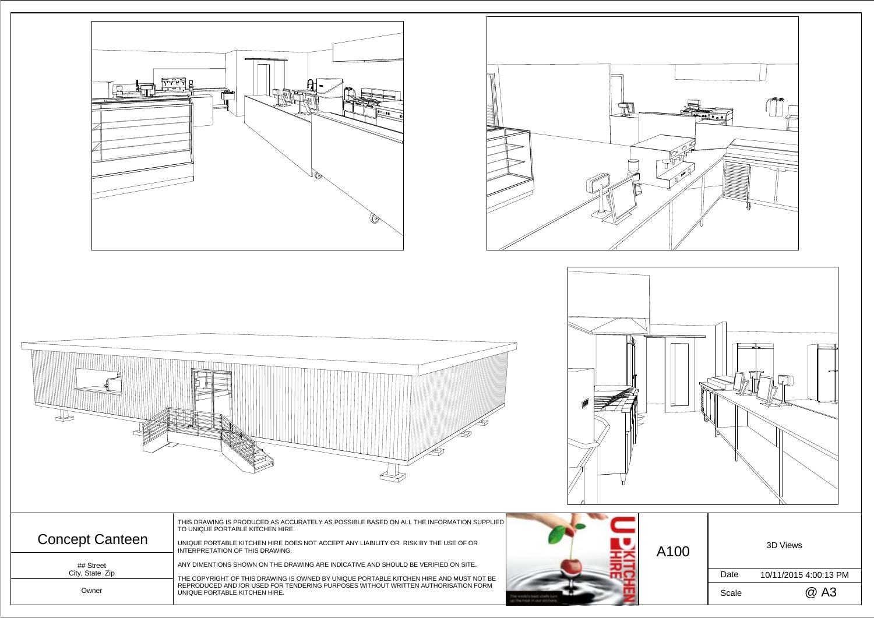THIS DRAWING IS PRODUCED AS ACCURATELY AS POSSIBLE BASED ON ALL THE INFORMATION SUPPLIED TO UNIQUE PORTABLE KITCHEN HIRE.

ANY DIMENTIONS SHOWN ON THE DRAWING ARE INDICATIVE AND SHOULD BE VERIFIED ON SITE.











## Street

Owner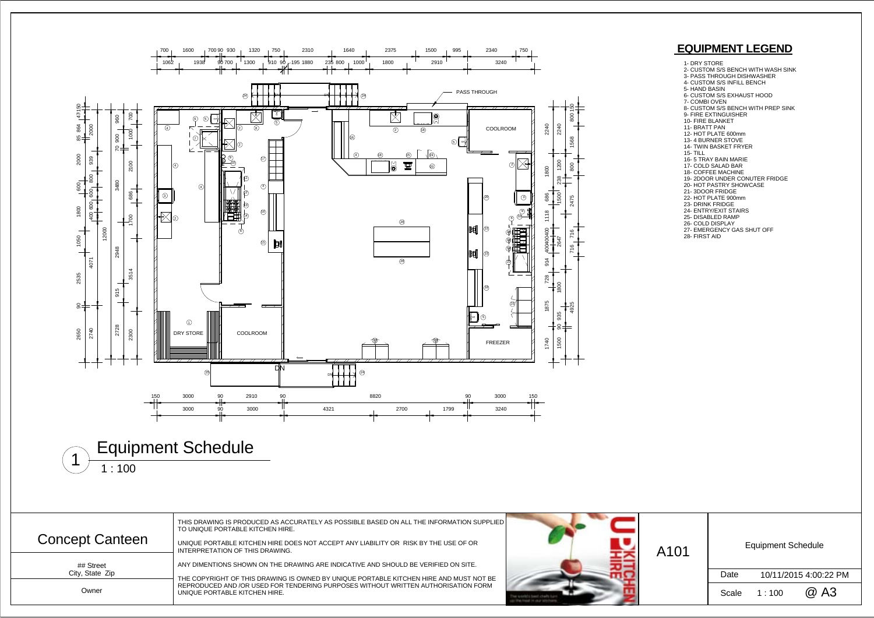| A101 | <b>Equipment Schedule</b> |                       |      |  |  |  |
|------|---------------------------|-----------------------|------|--|--|--|
|      | Date                      | 10/11/2015 4:00:22 PM |      |  |  |  |
|      | Scale                     | 1:100                 | @ A3 |  |  |  |

THIS DRAWING IS PRODUCED AS ACCURATELY AS POSSIBLE BASED ON ALL THE INFORMATION SUPPLIED TO UNIQUE PORTABLE KITCHEN HIRE. UNIQUE PORTABLE KITCHEN HIRE DOES NOT ACCEPT ANY LIABILITY OR RISK BY THE USE OF ORINTERPRETATION OF THIS DRAWING. ANY DIMENTIONS SHOWN ON THE DRAWING ARE INDICATIVE AND SHOULD BE VERIFIED ON SITE. THE COPYRIGHT OF THIS DRAWING IS OWNED BY UNIQUE PORTABLE KITCHEN HIRE AND MUST NOT BE REPRODUCED AND /OR USED FOR TENDERING PURPOSES WITHOUT WRITTEN AUTHORISATION FORMUNIQUE PORTABLE KITCHEN HIRE. Concept Canteen UNIQUE PORTABLE KITCHEN HIRE DOES NOT ACCEPT ANY LIABILITY OR RISK BY THE USE OF OR **AND AND AND A**<br>A101





## Street City, State Zip

Owner

## **EQUIPMENT LEGEND**

- 1- DRY STORE
- 2- CUSTOM S/S BENCH WITH WASH SINK
- 3- PASS THROUGH DISHWASHER 4- CUSTOM S/S INFILL BENCH
- 5- HAND BASIN
- 
- 
- 
- 6- CUSTOM S/S EXHAUST HOOD<br>7- COMBI OVEN<br>8- CUSTOM S/S BENCH WITH PREP SINK<br>9- FIRE EXTINGUISHER
- 
- 10- FIRE BLANKET
- 11- BRATT PAN
- 12- HOT PLATE 600mm
- 13- 4 BURNER STOVE
- 14- TWIN BASKET FRYER 15- TILL
- 
- 16- 5 TRAY BAIN MARIE 17- COLD SALAD BAR
- 
- 18- COFFEE MACHINE 19- 2DOOR UNDER CONUTER FRIDGE
- 20- HOT PASTRY SHOWCASE
- 21- 3DOOR FRIDGE
- 22- HOT PLATE 900mm
- 23- DRINK FRIDGE
- 24- ENTRY/EXIT STAIRS
- 
- 25- DISABLED RAMP 26- COLD DISPLAY
- 27- EMERGENCY GAS SHUT OFF
- 28- FIRST AID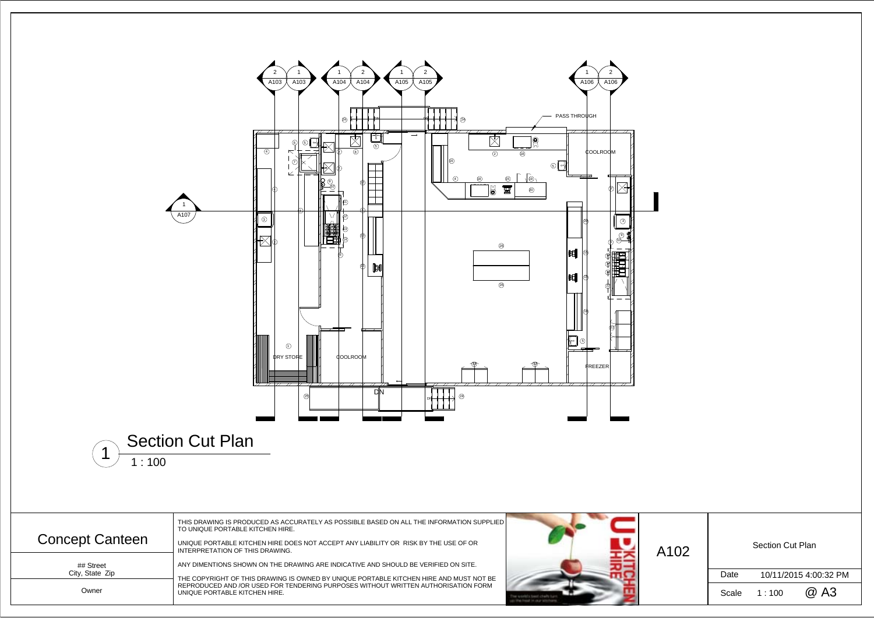

| A102 | <b>Section Cut Plan</b> |                       |      |  |  |  |
|------|-------------------------|-----------------------|------|--|--|--|
|      | Date                    | 10/11/2015 4:00:32 PM |      |  |  |  |
|      | Scale                   | 1:100                 | @ A3 |  |  |  |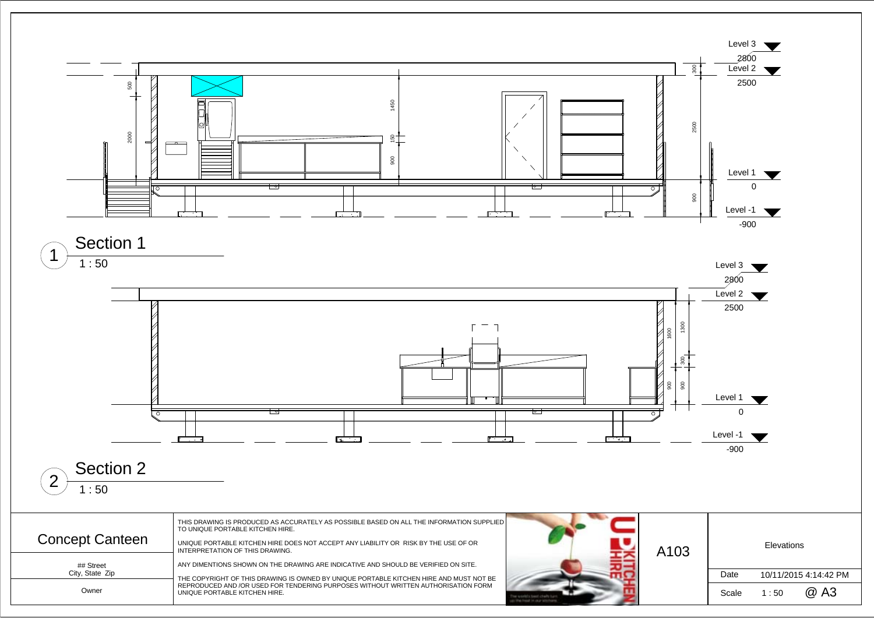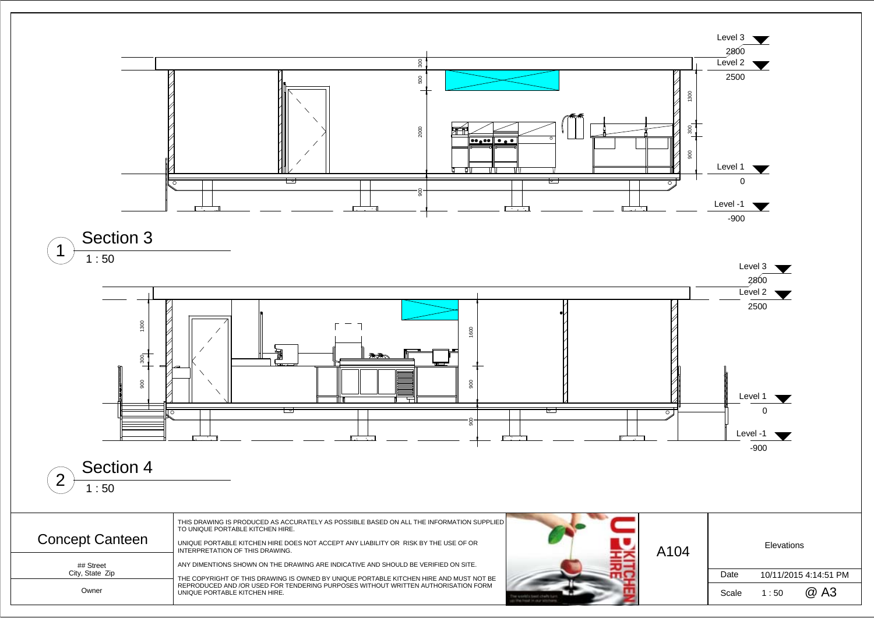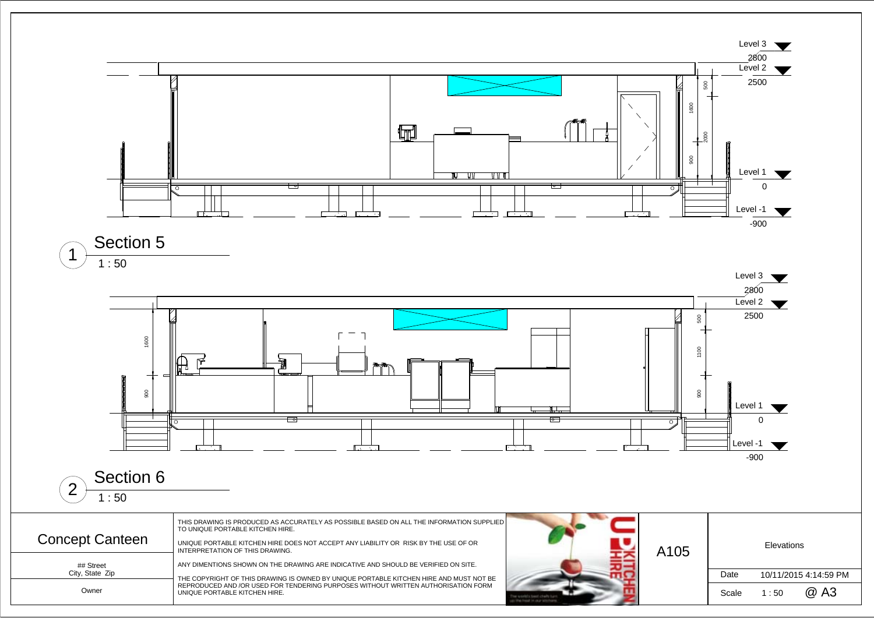

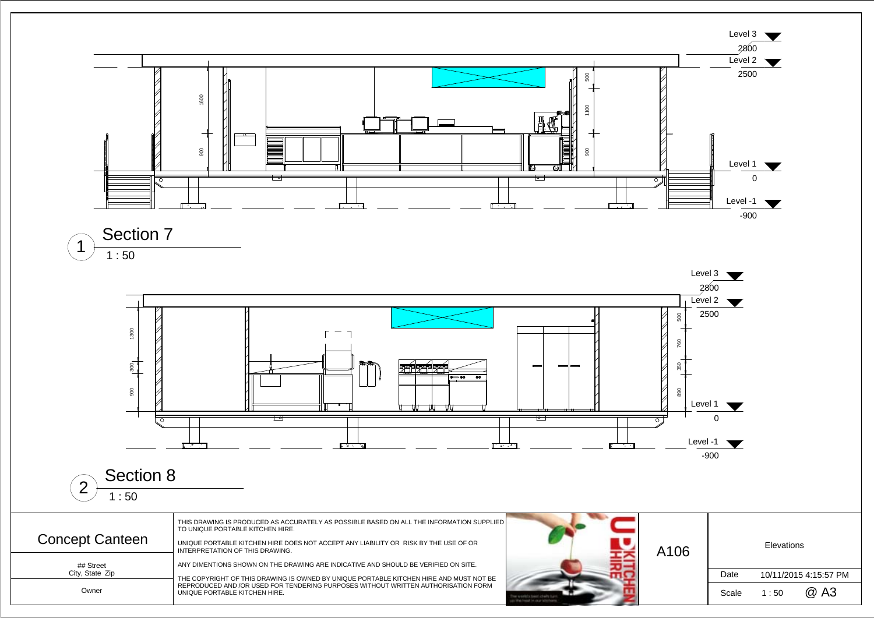





 1 : 50 Section 8  $\sqrt{2}$ 

| Concept Canteen                       | THIS DRAWING IS PRODUCED AS ACCURATELY AS POSSIBLE BASED ON ALL THE INFORMATION SUPPLIED<br>TO UNIQUE PORTABLE KITCHEN HIRE.<br>UNIQUE PORTABLE KITCHEN HIRE DOES NOT ACCEPT ANY LIABILITY OR RISK BY THE USE OF OR<br>INTERPRETATION OF THIS DRAWING.                                             | A106 | <b>Elevations</b> |         |                            |
|---------------------------------------|----------------------------------------------------------------------------------------------------------------------------------------------------------------------------------------------------------------------------------------------------------------------------------------------------|------|-------------------|---------|----------------------------|
| ## Street<br>City, State Zip<br>Owner | ANY DIMENTIONS SHOWN ON THE DRAWING ARE INDICATIVE AND SHOULD BE VERIFIED ON SITE.<br>THE COPYRIGHT OF THIS DRAWING IS OWNED BY UNIQUE PORTABLE KITCHEN HIRE AND MUST NOT BE<br>REPRODUCED AND /OR USED FOR TENDERING PURPOSES WITHOUT WRITTEN AUTHORISATION FORM<br>UNIQUE PORTABLE KITCHEN HIRE. |      | Date<br>Scale     | $\pm50$ | 10/11/2015 4:15:57<br>@ A3 |